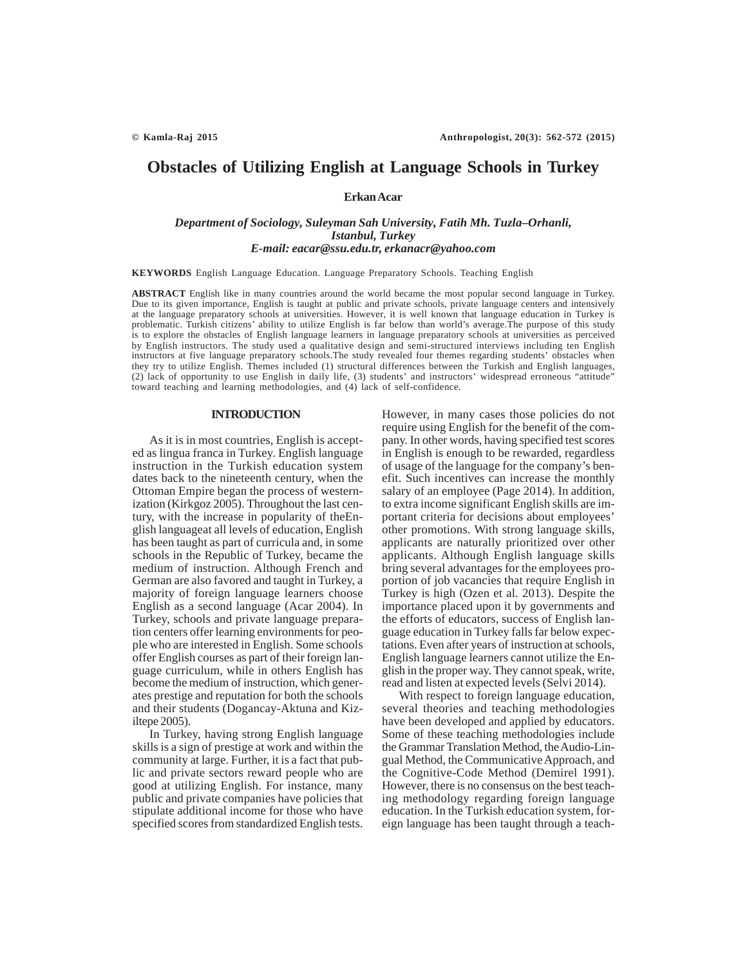# **Obstacles of Utilizing English at Language Schools in Turkey**

**Erkan Acar**

# *Department of Sociology, Suleyman Sah University, Fatih Mh. Tuzla–Orhanli, Istanbul, Turkey E-mail: eacar@ssu.edu.tr, erkanacr@yahoo.com*

**KEYWORDS** English Language Education. Language Preparatory Schools. Teaching English

**ABSTRACT** English like in many countries around the world became the most popular second language in Turkey. Due to its given importance, English is taught at public and private schools, private language centers and intensively at the language preparatory schools at universities. However, it is well known that language education in Turkey is problematic. Turkish citizens' ability to utilize English is far below than world's average.The purpose of this study is to explore the obstacles of English language learners in language preparatory schools at universities as perceived by English instructors. The study used a qualitative design and semi-structured interviews including ten English instructors at five language preparatory schools.The study revealed four themes regarding students' obstacles when they try to utilize English. Themes included (1) structural differences between the Turkish and English languages, (2) lack of opportunity to use English in daily life, (3) students' and instructors' widespread erroneous "attitude" toward teaching and learning methodologies, and (4) lack of self-confidence.

#### **INTRODUCTION**

As it is in most countries, English is accepted as lingua franca in Turkey. English language instruction in the Turkish education system dates back to the nineteenth century, when the Ottoman Empire began the process of westernization (Kirkgoz 2005). Throughout the last century, with the increase in popularity of theEnglish languageat all levels of education, English has been taught as part of curricula and, in some schools in the Republic of Turkey, became the medium of instruction. Although French and German are also favored and taught in Turkey, a majority of foreign language learners choose English as a second language (Acar 2004). In Turkey, schools and private language preparation centers offer learning environments for people who are interested in English. Some schools offer English courses as part of their foreign language curriculum, while in others English has become the medium of instruction, which generates prestige and reputation for both the schools and their students (Dogancay-Aktuna and Kiziltepe 2005).

In Turkey, having strong English language skills is a sign of prestige at work and within the community at large. Further, it is a fact that public and private sectors reward people who are good at utilizing English. For instance, many public and private companies have policies that stipulate additional income for those who have specified scores from standardized English tests.

However, in many cases those policies do not require using English for the benefit of the company. In other words, having specified test scores in English is enough to be rewarded, regardless of usage of the language for the company's benefit. Such incentives can increase the monthly salary of an employee (Page 2014). In addition, to extra income significant English skills are important criteria for decisions about employees' other promotions. With strong language skills, applicants are naturally prioritized over other applicants. Although English language skills bring several advantages for the employees proportion of job vacancies that require English in Turkey is high (Ozen et al. 2013). Despite the importance placed upon it by governments and the efforts of educators, success of English language education in Turkey falls far below expectations. Even after years of instruction at schools, English language learners cannot utilize the English in the proper way. They cannot speak, write, read and listen at expected levels (Selvi 2014).

With respect to foreign language education, several theories and teaching methodologies have been developed and applied by educators. Some of these teaching methodologies include the Grammar Translation Method, the Audio-Lingual Method, the Communicative Approach, and the Cognitive-Code Method (Demirel 1991). However, there is no consensus on the best teaching methodology regarding foreign language education. In the Turkish education system, foreign language has been taught through a teach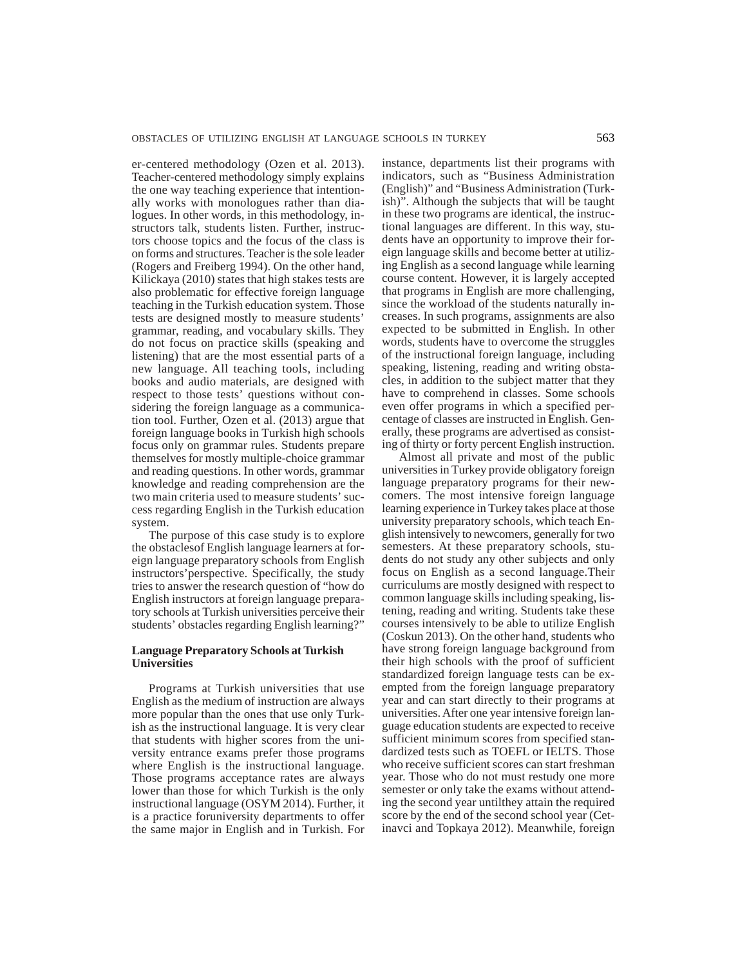er-centered methodology (Ozen et al. 2013). Teacher-centered methodology simply explains the one way teaching experience that intentionally works with monologues rather than dialogues. In other words, in this methodology, instructors talk, students listen. Further, instructors choose topics and the focus of the class is on forms and structures. Teacher is the sole leader (Rogers and Freiberg 1994). On the other hand, Kilickaya (2010) states that high stakes tests are also problematic for effective foreign language teaching in the Turkish education system. Those tests are designed mostly to measure students' grammar, reading, and vocabulary skills. They do not focus on practice skills (speaking and listening) that are the most essential parts of a new language. All teaching tools, including books and audio materials, are designed with respect to those tests' questions without considering the foreign language as a communication tool. Further, Ozen et al. (2013) argue that foreign language books in Turkish high schools focus only on grammar rules. Students prepare themselves for mostly multiple-choice grammar and reading questions. In other words, grammar knowledge and reading comprehension are the two main criteria used to measure students' success regarding English in the Turkish education system.

The purpose of this case study is to explore the obstaclesof English language learners at foreign language preparatory schools from English instructors'perspective. Specifically, the study tries to answer the research question of "how do English instructors at foreign language preparatory schools at Turkish universities perceive their students' obstacles regarding English learning?"

# **Language Preparatory Schools at Turkish Universities**

Programs at Turkish universities that use English as the medium of instruction are always more popular than the ones that use only Turkish as the instructional language. It is very clear that students with higher scores from the university entrance exams prefer those programs where English is the instructional language. Those programs acceptance rates are always lower than those for which Turkish is the only instructional language (OSYM 2014). Further, it is a practice foruniversity departments to offer the same major in English and in Turkish. For

instance, departments list their programs with indicators, such as "Business Administration (English)" and "Business Administration (Turkish)". Although the subjects that will be taught in these two programs are identical, the instructional languages are different. In this way, students have an opportunity to improve their foreign language skills and become better at utilizing English as a second language while learning course content. However, it is largely accepted that programs in English are more challenging, since the workload of the students naturally increases. In such programs, assignments are also expected to be submitted in English. In other words, students have to overcome the struggles of the instructional foreign language, including speaking, listening, reading and writing obstacles, in addition to the subject matter that they have to comprehend in classes. Some schools even offer programs in which a specified percentage of classes are instructed in English. Generally, these programs are advertised as consisting of thirty or forty percent English instruction.

Almost all private and most of the public universities in Turkey provide obligatory foreign language preparatory programs for their newcomers. The most intensive foreign language learning experience in Turkey takes place at those university preparatory schools, which teach English intensively to newcomers, generally for two semesters. At these preparatory schools, students do not study any other subjects and only focus on English as a second language.Their curriculums are mostly designed with respect to common language skills including speaking, listening, reading and writing. Students take these courses intensively to be able to utilize English (Coskun 2013). On the other hand, students who have strong foreign language background from their high schools with the proof of sufficient standardized foreign language tests can be exempted from the foreign language preparatory year and can start directly to their programs at universities. After one year intensive foreign language education students are expected to receive sufficient minimum scores from specified standardized tests such as TOEFL or IELTS. Those who receive sufficient scores can start freshman year. Those who do not must restudy one more semester or only take the exams without attending the second year untilthey attain the required score by the end of the second school year (Cetinavci and Topkaya 2012). Meanwhile, foreign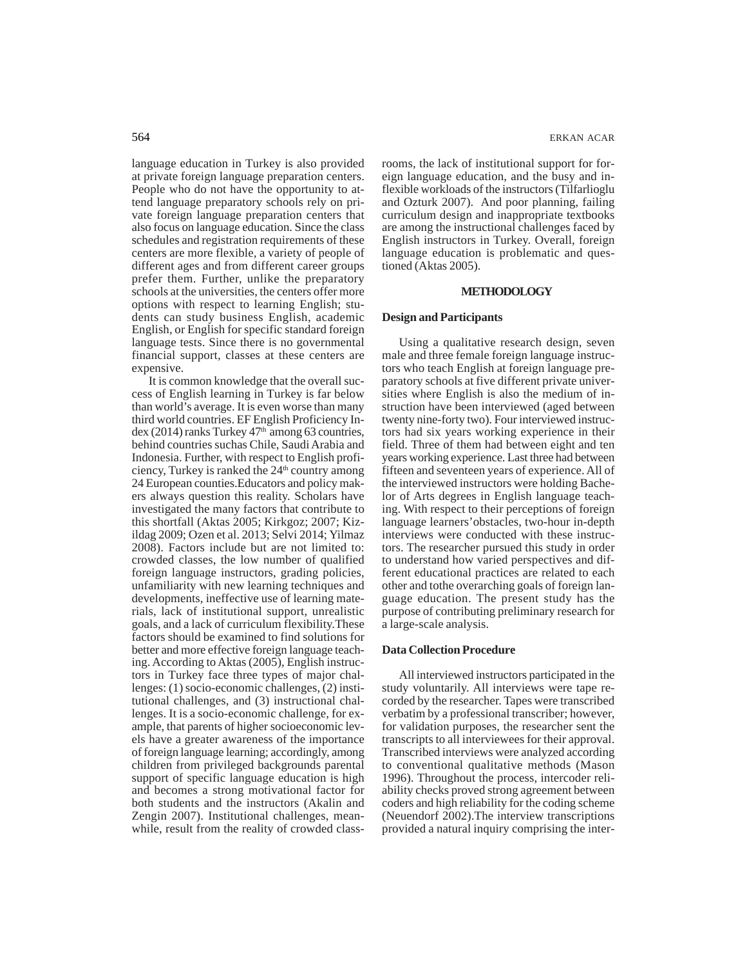language education in Turkey is also provided at private foreign language preparation centers. People who do not have the opportunity to attend language preparatory schools rely on private foreign language preparation centers that also focus on language education. Since the class schedules and registration requirements of these centers are more flexible, a variety of people of different ages and from different career groups prefer them. Further, unlike the preparatory schools at the universities, the centers offer more options with respect to learning English; students can study business English, academic English, or English for specific standard foreign language tests. Since there is no governmental financial support, classes at these centers are expensive.

It is common knowledge that the overall success of English learning in Turkey is far below than world's average. It is even worse than many third world countries. EF English Proficiency Index (2014) ranks Turkey  $47<sup>th</sup>$  among 63 countries, behind countries suchas Chile, Saudi Arabia and Indonesia. Further, with respect to English proficiency, Turkey is ranked the 24<sup>th</sup> country among 24 European counties.Educators and policy makers always question this reality. Scholars have investigated the many factors that contribute to this shortfall (Aktas 2005; Kirkgoz; 2007; Kizildag 2009; Ozen et al. 2013; Selvi 2014; Yilmaz 2008). Factors include but are not limited to: crowded classes, the low number of qualified foreign language instructors, grading policies, unfamiliarity with new learning techniques and developments, ineffective use of learning materials, lack of institutional support, unrealistic goals, and a lack of curriculum flexibility.These factors should be examined to find solutions for better and more effective foreign language teaching. According to Aktas (2005), English instructors in Turkey face three types of major challenges: (1) socio-economic challenges, (2) institutional challenges, and (3) instructional challenges. It is a socio-economic challenge, for example, that parents of higher socioeconomic levels have a greater awareness of the importance of foreign language learning; accordingly, among children from privileged backgrounds parental support of specific language education is high and becomes a strong motivational factor for both students and the instructors (Akalin and Zengin 2007). Institutional challenges, meanwhile, result from the reality of crowded classrooms, the lack of institutional support for foreign language education, and the busy and inflexible workloads of the instructors (Tilfarlioglu and Ozturk 2007). And poor planning, failing curriculum design and inappropriate textbooks are among the instructional challenges faced by English instructors in Turkey. Overall, foreign language education is problematic and questioned (Aktas 2005).

#### **METHODOLOGY**

## **Design and Participants**

Using a qualitative research design, seven male and three female foreign language instructors who teach English at foreign language preparatory schools at five different private universities where English is also the medium of instruction have been interviewed (aged between twenty nine-forty two). Four interviewed instructors had six years working experience in their field. Three of them had between eight and ten years working experience. Last three had between fifteen and seventeen years of experience. All of the interviewed instructors were holding Bachelor of Arts degrees in English language teaching. With respect to their perceptions of foreign language learners'obstacles, two-hour in-depth interviews were conducted with these instructors. The researcher pursued this study in order to understand how varied perspectives and different educational practices are related to each other and tothe overarching goals of foreign language education. The present study has the purpose of contributing preliminary research for a large-scale analysis.

#### **Data Collection Procedure**

All interviewed instructors participated in the study voluntarily. All interviews were tape recorded by the researcher. Tapes were transcribed verbatim by a professional transcriber; however, for validation purposes, the researcher sent the transcripts to all interviewees for their approval. Transcribed interviews were analyzed according to conventional qualitative methods (Mason 1996). Throughout the process, intercoder reliability checks proved strong agreement between coders and high reliability for the coding scheme (Neuendorf 2002).The interview transcriptions provided a natural inquiry comprising the inter-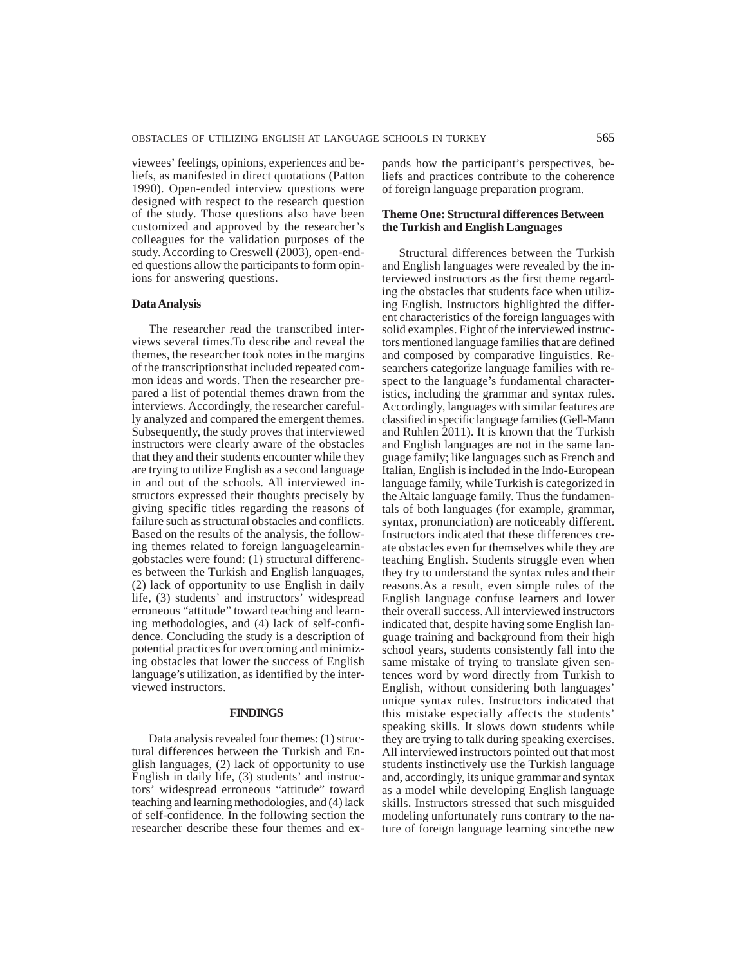viewees' feelings, opinions, experiences and beliefs, as manifested in direct quotations (Patton 1990). Open-ended interview questions were designed with respect to the research question of the study. Those questions also have been customized and approved by the researcher's colleagues for the validation purposes of the study. According to Creswell (2003), open-ended questions allow the participants to form opinions for answering questions.

#### **Data Analysis**

The researcher read the transcribed interviews several times.To describe and reveal the themes, the researcher took notes in the margins of the transcriptionsthat included repeated common ideas and words. Then the researcher prepared a list of potential themes drawn from the interviews. Accordingly, the researcher carefully analyzed and compared the emergent themes. Subsequently, the study proves that interviewed instructors were clearly aware of the obstacles that they and their students encounter while they are trying to utilize English as a second language in and out of the schools. All interviewed instructors expressed their thoughts precisely by giving specific titles regarding the reasons of failure such as structural obstacles and conflicts. Based on the results of the analysis, the following themes related to foreign languagelearningobstacles were found: (1) structural differences between the Turkish and English languages, (2) lack of opportunity to use English in daily life, (3) students' and instructors' widespread erroneous "attitude" toward teaching and learning methodologies, and (4) lack of self-confidence. Concluding the study is a description of potential practices for overcoming and minimizing obstacles that lower the success of English language's utilization, as identified by the interviewed instructors.

# **FINDINGS**

Data analysis revealed four themes: (1) structural differences between the Turkish and English languages, (2) lack of opportunity to use English in daily life, (3) students' and instructors' widespread erroneous "attitude" toward teaching and learning methodologies, and (4) lack of self-confidence. In the following section the researcher describe these four themes and expands how the participant's perspectives, beliefs and practices contribute to the coherence of foreign language preparation program.

### **Theme One: Structural differences Between the Turkish and English Languages**

Structural differences between the Turkish and English languages were revealed by the interviewed instructors as the first theme regarding the obstacles that students face when utilizing English. Instructors highlighted the different characteristics of the foreign languages with solid examples. Eight of the interviewed instructors mentioned language families that are defined and composed by comparative linguistics. Researchers categorize language families with respect to the language's fundamental characteristics, including the grammar and syntax rules. Accordingly, languages with similar features are classified in specific language families (Gell-Mann and Ruhlen 2011). It is known that the Turkish and English languages are not in the same language family; like languages such as French and Italian, English is included in the Indo-European language family, while Turkish is categorized in the Altaic language family. Thus the fundamentals of both languages (for example, grammar, syntax, pronunciation) are noticeably different. Instructors indicated that these differences create obstacles even for themselves while they are teaching English. Students struggle even when they try to understand the syntax rules and their reasons.As a result, even simple rules of the English language confuse learners and lower their overall success. All interviewed instructors indicated that, despite having some English language training and background from their high school years, students consistently fall into the same mistake of trying to translate given sentences word by word directly from Turkish to English, without considering both languages' unique syntax rules. Instructors indicated that this mistake especially affects the students' speaking skills. It slows down students while they are trying to talk during speaking exercises. All interviewed instructors pointed out that most students instinctively use the Turkish language and, accordingly, its unique grammar and syntax as a model while developing English language skills. Instructors stressed that such misguided modeling unfortunately runs contrary to the nature of foreign language learning sincethe new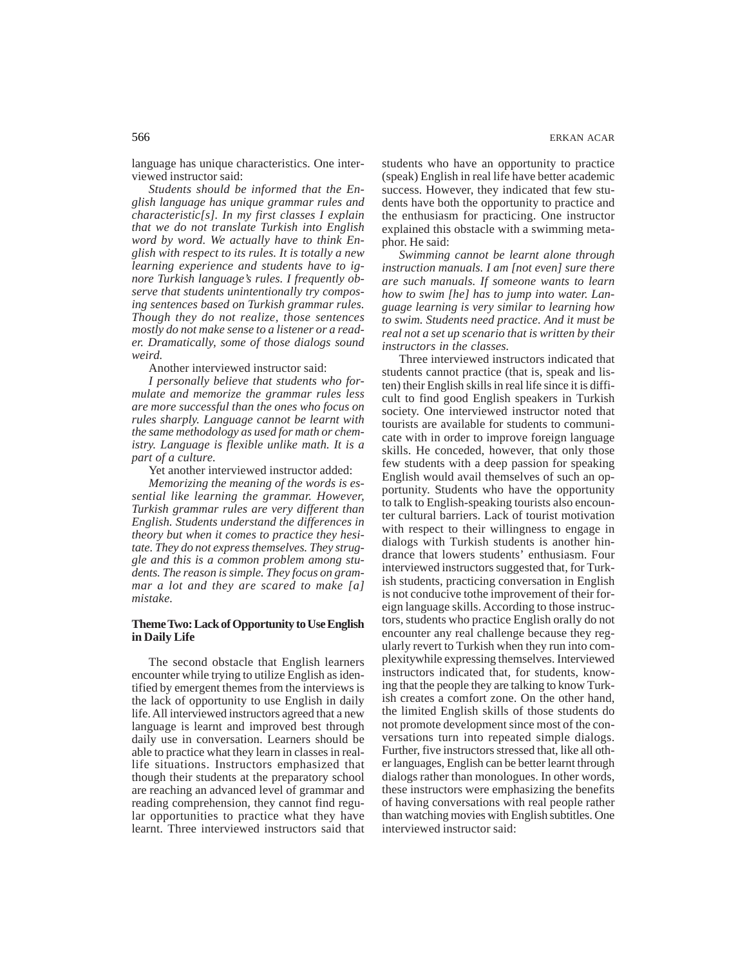language has unique characteristics. One interviewed instructor said:

*Students should be informed that the English language has unique grammar rules and characteristic[s]. In my first classes I explain that we do not translate Turkish into English word by word. We actually have to think English with respect to its rules. It is totally a new learning experience and students have to ignore Turkish language's rules. I frequently observe that students unintentionally try composing sentences based on Turkish grammar rules. Though they do not realize, those sentences mostly do not make sense to a listener or a reader. Dramatically, some of those dialogs sound weird.*

Another interviewed instructor said:

*I personally believe that students who formulate and memorize the grammar rules less are more successful than the ones who focus on rules sharply. Language cannot be learnt with the same methodology as used for math or chemistry. Language is flexible unlike math. It is a part of a culture.*

Yet another interviewed instructor added:

*Memorizing the meaning of the words is essential like learning the grammar. However, Turkish grammar rules are very different than English. Students understand the differences in theory but when it comes to practice they hesitate. They do not express themselves. They struggle and this is a common problem among students. The reason is simple. They focus on grammar a lot and they are scared to make [a] mistake.*

# **Theme Two: Lack of Opportunity to Use English in Daily Life**

The second obstacle that English learners encounter while trying to utilize English as identified by emergent themes from the interviews is the lack of opportunity to use English in daily life. All interviewed instructors agreed that a new language is learnt and improved best through daily use in conversation. Learners should be able to practice what they learn in classes in reallife situations. Instructors emphasized that though their students at the preparatory school are reaching an advanced level of grammar and reading comprehension, they cannot find regular opportunities to practice what they have learnt. Three interviewed instructors said that students who have an opportunity to practice (speak) English in real life have better academic success. However, they indicated that few students have both the opportunity to practice and the enthusiasm for practicing. One instructor explained this obstacle with a swimming metaphor. He said:

*Swimming cannot be learnt alone through instruction manuals. I am [not even] sure there are such manuals. If someone wants to learn how to swim [he] has to jump into water. Language learning is very similar to learning how to swim. Students need practice. And it must be real not a set up scenario that is written by their instructors in the classes.*

Three interviewed instructors indicated that students cannot practice (that is, speak and listen) their English skills in real life since it is difficult to find good English speakers in Turkish society. One interviewed instructor noted that tourists are available for students to communicate with in order to improve foreign language skills. He conceded, however, that only those few students with a deep passion for speaking English would avail themselves of such an opportunity. Students who have the opportunity to talk to English-speaking tourists also encounter cultural barriers. Lack of tourist motivation with respect to their willingness to engage in dialogs with Turkish students is another hindrance that lowers students' enthusiasm. Four interviewed instructors suggested that, for Turkish students, practicing conversation in English is not conducive tothe improvement of their foreign language skills. According to those instructors, students who practice English orally do not encounter any real challenge because they regularly revert to Turkish when they run into complexitywhile expressing themselves. Interviewed instructors indicated that, for students, knowing that the people they are talking to know Turkish creates a comfort zone. On the other hand, the limited English skills of those students do not promote development since most of the conversations turn into repeated simple dialogs. Further, five instructors stressed that, like all other languages, English can be better learnt through dialogs rather than monologues. In other words, these instructors were emphasizing the benefits of having conversations with real people rather than watching movies with English subtitles. One interviewed instructor said: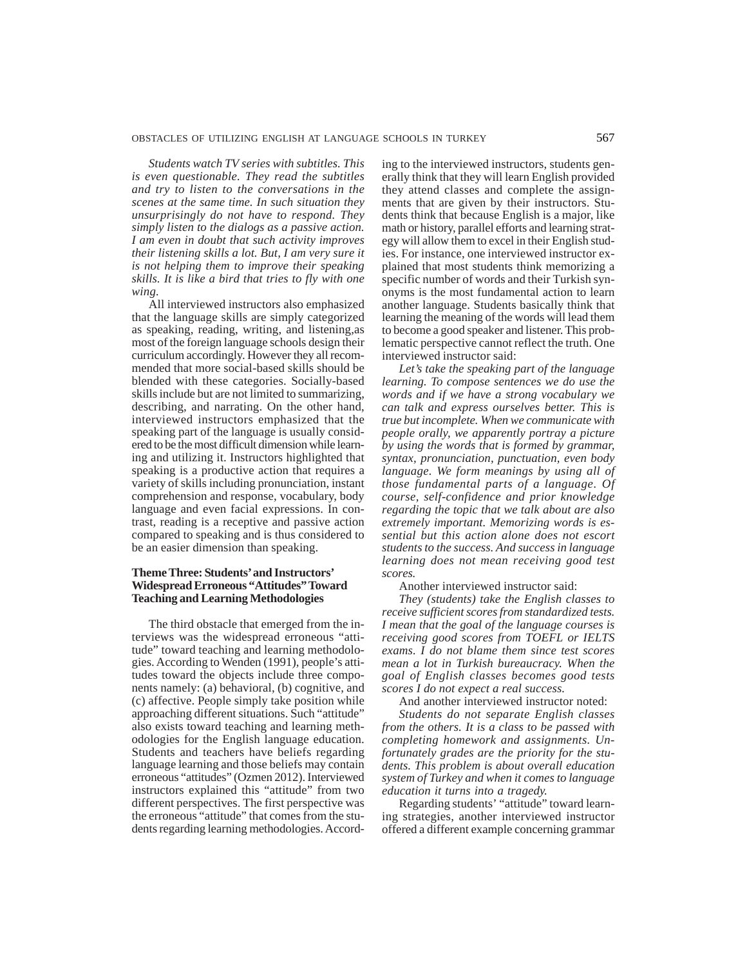*Students watch TV series with subtitles. This is even questionable. They read the subtitles and try to listen to the conversations in the scenes at the same time. In such situation they unsurprisingly do not have to respond. They simply listen to the dialogs as a passive action. I am even in doubt that such activity improves their listening skills a lot. But, I am very sure it is not helping them to improve their speaking skills. It is like a bird that tries to fly with one wing.*

All interviewed instructors also emphasized that the language skills are simply categorized as speaking, reading, writing, and listening,as most of the foreign language schools design their curriculum accordingly. However they all recommended that more social-based skills should be blended with these categories. Socially-based skills include but are not limited to summarizing, describing, and narrating. On the other hand, interviewed instructors emphasized that the speaking part of the language is usually considered to be the most difficult dimension while learning and utilizing it. Instructors highlighted that speaking is a productive action that requires a variety of skills including pronunciation, instant comprehension and response, vocabulary, body language and even facial expressions. In contrast, reading is a receptive and passive action compared to speaking and is thus considered to be an easier dimension than speaking.

# **Theme Three: Students' and Instructors' Widespread Erroneous "Attitudes" Toward Teaching and Learning Methodologies**

The third obstacle that emerged from the interviews was the widespread erroneous "attitude" toward teaching and learning methodologies. According to Wenden (1991), people's attitudes toward the objects include three components namely: (a) behavioral, (b) cognitive, and (c) affective. People simply take position while approaching different situations. Such "attitude" also exists toward teaching and learning methodologies for the English language education. Students and teachers have beliefs regarding language learning and those beliefs may contain erroneous "attitudes" (Ozmen 2012). Interviewed instructors explained this "attitude" from two different perspectives. The first perspective was the erroneous "attitude" that comes from the students regarding learning methodologies. According to the interviewed instructors, students generally think that they will learn English provided they attend classes and complete the assignments that are given by their instructors. Students think that because English is a major, like math or history, parallel efforts and learning strategy will allow them to excel in their English studies. For instance, one interviewed instructor explained that most students think memorizing a specific number of words and their Turkish synonyms is the most fundamental action to learn another language. Students basically think that learning the meaning of the words will lead them to become a good speaker and listener. This problematic perspective cannot reflect the truth. One interviewed instructor said:

*Let's take the speaking part of the language learning. To compose sentences we do use the words and if we have a strong vocabulary we can talk and express ourselves better. This is true but incomplete. When we communicate with people orally, we apparently portray a picture by using the words that is formed by grammar, syntax, pronunciation, punctuation, even body language. We form meanings by using all of those fundamental parts of a language. Of course, self-confidence and prior knowledge regarding the topic that we talk about are also extremely important. Memorizing words is essential but this action alone does not escort students to the success. And success in language learning does not mean receiving good test scores.*

Another interviewed instructor said:

*They (students) take the English classes to receive sufficient scores from standardized tests. I mean that the goal of the language courses is receiving good scores from TOEFL or IELTS exams. I do not blame them since test scores mean a lot in Turkish bureaucracy. When the goal of English classes becomes good tests scores I do not expect a real success.*

And another interviewed instructor noted:

*Students do not separate English classes from the others. It is a class to be passed with completing homework and assignments. Unfortunately grades are the priority for the students. This problem is about overall education system of Turkey and when it comes to language education it turns into a tragedy.*

Regarding students' "attitude" toward learning strategies, another interviewed instructor offered a different example concerning grammar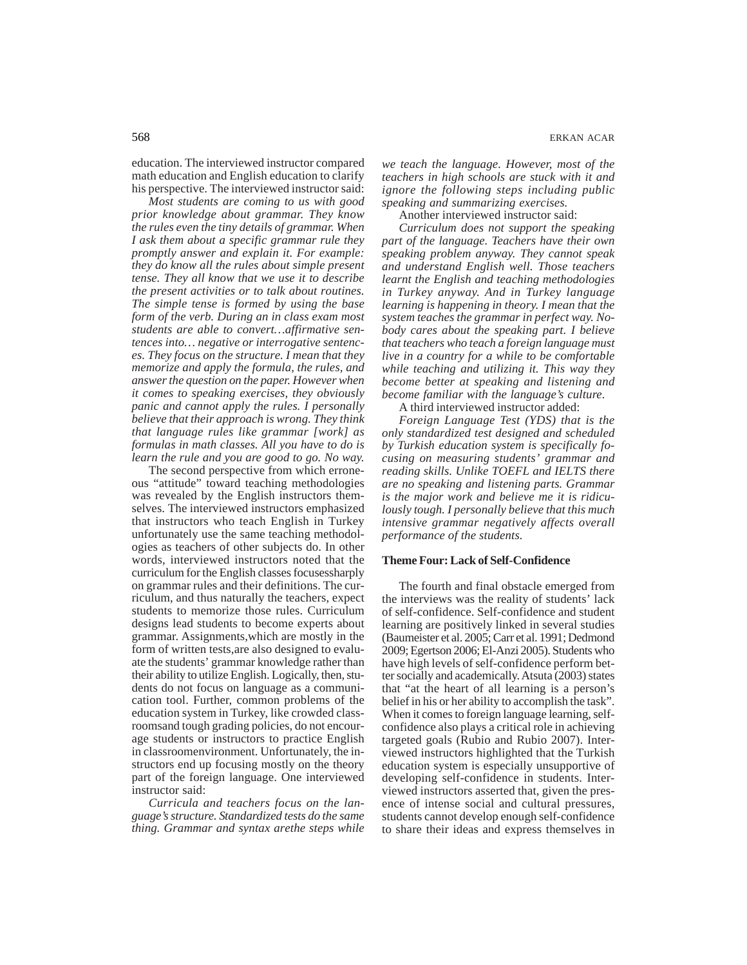education. The interviewed instructor compared math education and English education to clarify his perspective. The interviewed instructor said:

*Most students are coming to us with good prior knowledge about grammar. They know the rules even the tiny details of grammar. When I ask them about a specific grammar rule they promptly answer and explain it. For example: they do know all the rules about simple present tense. They all know that we use it to describe the present activities or to talk about routines. The simple tense is formed by using the base form of the verb. During an in class exam most students are able to convert…affirmative sentences into… negative or interrogative sentences. They focus on the structure. I mean that they memorize and apply the formula, the rules, and answer the question on the paper. However when it comes to speaking exercises, they obviously panic and cannot apply the rules. I personally believe that their approach is wrong. They think that language rules like grammar [work] as formulas in math classes. All you have to do is learn the rule and you are good to go. No way.*

The second perspective from which erroneous "attitude" toward teaching methodologies was revealed by the English instructors themselves. The interviewed instructors emphasized that instructors who teach English in Turkey unfortunately use the same teaching methodologies as teachers of other subjects do. In other words, interviewed instructors noted that the curriculum for the English classes focusessharply on grammar rules and their definitions. The curriculum, and thus naturally the teachers, expect students to memorize those rules. Curriculum designs lead students to become experts about grammar. Assignments,which are mostly in the form of written tests,are also designed to evaluate the students' grammar knowledge rather than their ability to utilize English. Logically, then, students do not focus on language as a communication tool. Further, common problems of the education system in Turkey, like crowded classroomsand tough grading policies, do not encourage students or instructors to practice English in classroomenvironment. Unfortunately, the instructors end up focusing mostly on the theory part of the foreign language. One interviewed instructor said:

*Curricula and teachers focus on the language's structure. Standardized tests do the same thing. Grammar and syntax arethe steps while* *we teach the language. However, most of the teachers in high schools are stuck with it and ignore the following steps including public speaking and summarizing exercises.*

Another interviewed instructor said:

*Curriculum does not support the speaking part of the language. Teachers have their own speaking problem anyway. They cannot speak and understand English well. Those teachers learnt the English and teaching methodologies in Turkey anyway. And in Turkey language learning is happening in theory. I mean that the system teaches the grammar in perfect way. Nobody cares about the speaking part. I believe that teachers who teach a foreign language must live in a country for a while to be comfortable while teaching and utilizing it. This way they become better at speaking and listening and become familiar with the language's culture.*

A third interviewed instructor added:

*Foreign Language Test (YDS) that is the only standardized test designed and scheduled by Turkish education system is specifically focusing on measuring students' grammar and reading skills. Unlike TOEFL and IELTS there are no speaking and listening parts. Grammar is the major work and believe me it is ridiculously tough. I personally believe that this much intensive grammar negatively affects overall performance of the students.*

#### **Theme Four: Lack of Self-Confidence**

The fourth and final obstacle emerged from the interviews was the reality of students' lack of self-confidence. Self-confidence and student learning are positively linked in several studies (Baumeister et al. 2005; Carr et al. 1991; Dedmond 2009; Egertson 2006; El-Anzi 2005). Students who have high levels of self-confidence perform better socially and academically. Atsuta (2003) states that "at the heart of all learning is a person's belief in his or her ability to accomplish the task". When it comes to foreign language learning, selfconfidence also plays a critical role in achieving targeted goals (Rubio and Rubio 2007). Interviewed instructors highlighted that the Turkish education system is especially unsupportive of developing self-confidence in students. Interviewed instructors asserted that, given the presence of intense social and cultural pressures, students cannot develop enough self-confidence to share their ideas and express themselves in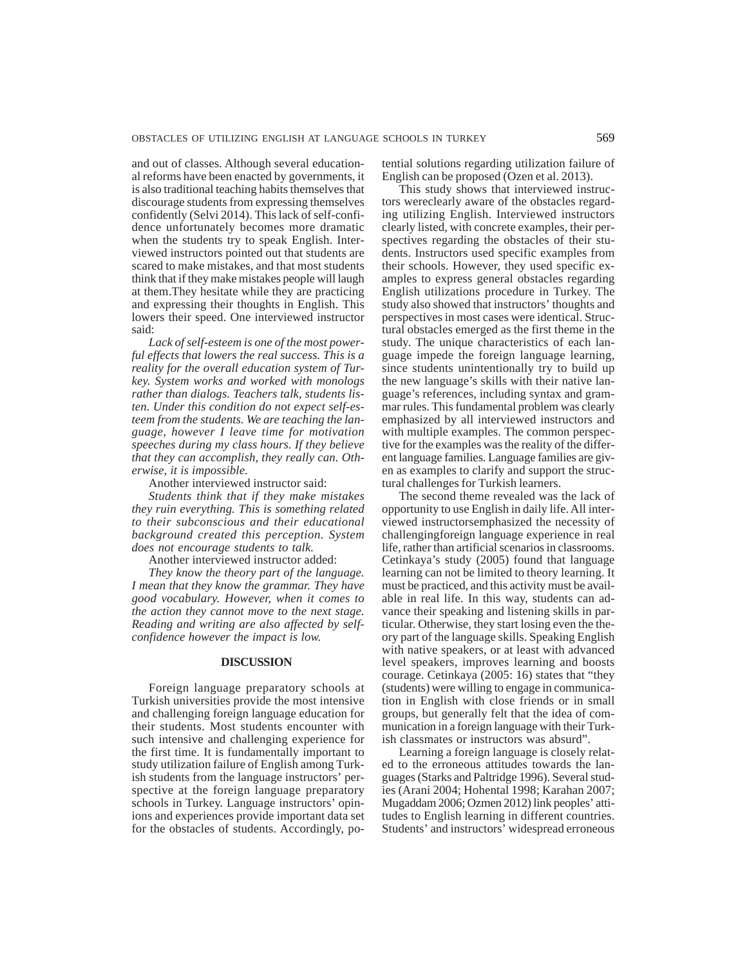and out of classes. Although several educational reforms have been enacted by governments, it is also traditional teaching habits themselves that discourage students from expressing themselves confidently (Selvi 2014). This lack of self-confidence unfortunately becomes more dramatic when the students try to speak English. Interviewed instructors pointed out that students are scared to make mistakes, and that most students think that if they make mistakes people will laugh at them.They hesitate while they are practicing and expressing their thoughts in English. This lowers their speed. One interviewed instructor said:

*Lack of self-esteem is one of the most powerful effects that lowers the real success. This is a reality for the overall education system of Turkey. System works and worked with monologs rather than dialogs. Teachers talk, students listen. Under this condition do not expect self-esteem from the students. We are teaching the language, however I leave time for motivation speeches during my class hours. If they believe that they can accomplish, they really can. Otherwise, it is impossible.*

Another interviewed instructor said:

*Students think that if they make mistakes they ruin everything. This is something related to their subconscious and their educational background created this perception. System does not encourage students to talk.*

Another interviewed instructor added:

*They know the theory part of the language. I mean that they know the grammar. They have good vocabulary. However, when it comes to the action they cannot move to the next stage. Reading and writing are also affected by selfconfidence however the impact is low.*

#### **DISCUSSION**

Foreign language preparatory schools at Turkish universities provide the most intensive and challenging foreign language education for their students. Most students encounter with such intensive and challenging experience for the first time. It is fundamentally important to study utilization failure of English among Turkish students from the language instructors' perspective at the foreign language preparatory schools in Turkey. Language instructors' opinions and experiences provide important data set for the obstacles of students. Accordingly, potential solutions regarding utilization failure of English can be proposed (Ozen et al. 2013).

This study shows that interviewed instructors wereclearly aware of the obstacles regarding utilizing English. Interviewed instructors clearly listed, with concrete examples, their perspectives regarding the obstacles of their students. Instructors used specific examples from their schools. However, they used specific examples to express general obstacles regarding English utilizations procedure in Turkey. The study also showed that instructors' thoughts and perspectives in most cases were identical. Structural obstacles emerged as the first theme in the study. The unique characteristics of each language impede the foreign language learning, since students unintentionally try to build up the new language's skills with their native language's references, including syntax and grammar rules. This fundamental problem was clearly emphasized by all interviewed instructors and with multiple examples. The common perspective for the examples was the reality of the different language families. Language families are given as examples to clarify and support the structural challenges for Turkish learners.

The second theme revealed was the lack of opportunity to use English in daily life. All interviewed instructorsemphasized the necessity of challengingforeign language experience in real life, rather than artificial scenarios in classrooms. Cetinkaya's study (2005) found that language learning can not be limited to theory learning. It must be practiced, and this activity must be available in real life. In this way, students can advance their speaking and listening skills in particular. Otherwise, they start losing even the theory part of the language skills. Speaking English with native speakers, or at least with advanced level speakers, improves learning and boosts courage. Cetinkaya (2005: 16) states that "they (students) were willing to engage in communication in English with close friends or in small groups, but generally felt that the idea of communication in a foreign language with their Turkish classmates or instructors was absurd".

Learning a foreign language is closely related to the erroneous attitudes towards the languages (Starks and Paltridge 1996). Several studies (Arani 2004; Hohental 1998; Karahan 2007; Mugaddam 2006; Ozmen 2012) link peoples' attitudes to English learning in different countries. Students' and instructors' widespread erroneous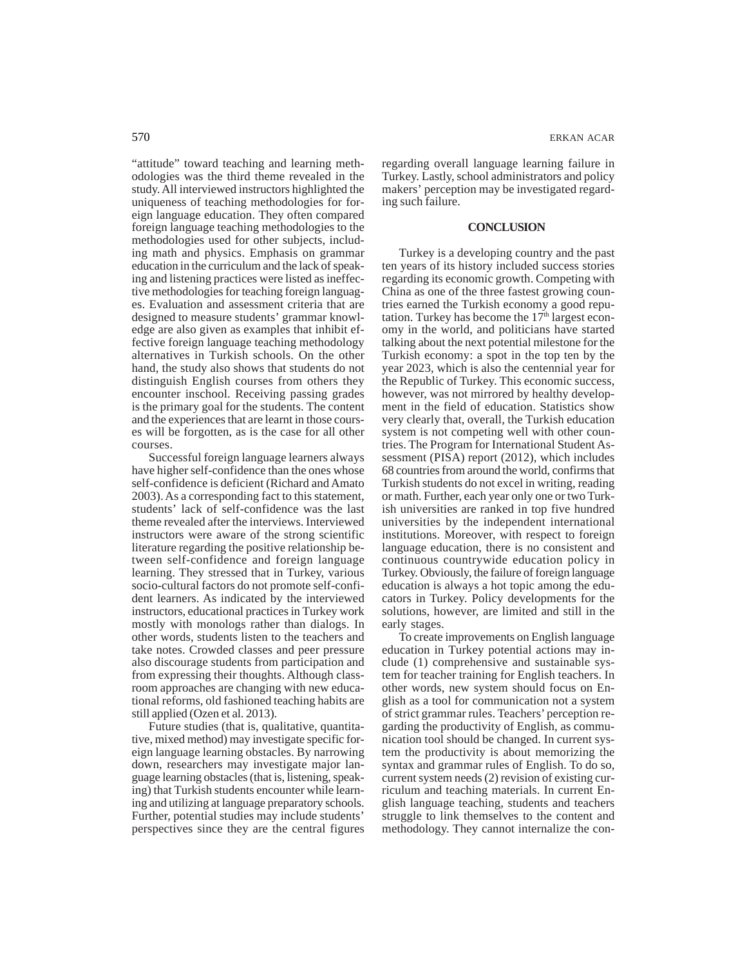"attitude" toward teaching and learning methodologies was the third theme revealed in the study. All interviewed instructors highlighted the uniqueness of teaching methodologies for foreign language education. They often compared foreign language teaching methodologies to the methodologies used for other subjects, including math and physics. Emphasis on grammar education in the curriculum and the lack of speaking and listening practices were listed as ineffective methodologies for teaching foreign languages. Evaluation and assessment criteria that are designed to measure students' grammar knowledge are also given as examples that inhibit effective foreign language teaching methodology alternatives in Turkish schools. On the other hand, the study also shows that students do not distinguish English courses from others they encounter inschool. Receiving passing grades is the primary goal for the students. The content and the experiences that are learnt in those courses will be forgotten, as is the case for all other courses.

Successful foreign language learners always have higher self-confidence than the ones whose self-confidence is deficient (Richard and Amato 2003). As a corresponding fact to this statement, students' lack of self-confidence was the last theme revealed after the interviews. Interviewed instructors were aware of the strong scientific literature regarding the positive relationship between self-confidence and foreign language learning. They stressed that in Turkey, various socio-cultural factors do not promote self-confident learners. As indicated by the interviewed instructors, educational practices in Turkey work mostly with monologs rather than dialogs. In other words, students listen to the teachers and take notes. Crowded classes and peer pressure also discourage students from participation and from expressing their thoughts. Although classroom approaches are changing with new educational reforms, old fashioned teaching habits are still applied (Ozen et al. 2013).

Future studies (that is, qualitative, quantitative, mixed method) may investigate specific foreign language learning obstacles. By narrowing down, researchers may investigate major language learning obstacles (that is, listening, speaking) that Turkish students encounter while learning and utilizing at language preparatory schools. Further, potential studies may include students' perspectives since they are the central figures regarding overall language learning failure in Turkey. Lastly, school administrators and policy makers' perception may be investigated regarding such failure.

# **CONCLUSION**

Turkey is a developing country and the past ten years of its history included success stories regarding its economic growth. Competing with China as one of the three fastest growing countries earned the Turkish economy a good reputation. Turkey has become the  $17<sup>th</sup>$  largest economy in the world, and politicians have started talking about the next potential milestone for the Turkish economy: a spot in the top ten by the year 2023, which is also the centennial year for the Republic of Turkey. This economic success, however, was not mirrored by healthy development in the field of education. Statistics show very clearly that, overall, the Turkish education system is not competing well with other countries. The Program for International Student Assessment (PISA) report (2012), which includes 68 countries from around the world, confirms that Turkish students do not excel in writing, reading or math. Further, each year only one or two Turkish universities are ranked in top five hundred universities by the independent international institutions. Moreover, with respect to foreign language education, there is no consistent and continuous countrywide education policy in Turkey. Obviously, the failure of foreign language education is always a hot topic among the educators in Turkey. Policy developments for the solutions, however, are limited and still in the early stages.

To create improvements on English language education in Turkey potential actions may include (1) comprehensive and sustainable system for teacher training for English teachers. In other words, new system should focus on English as a tool for communication not a system of strict grammar rules. Teachers' perception regarding the productivity of English, as communication tool should be changed. In current system the productivity is about memorizing the syntax and grammar rules of English. To do so, current system needs (2) revision of existing curriculum and teaching materials. In current English language teaching, students and teachers struggle to link themselves to the content and methodology. They cannot internalize the con-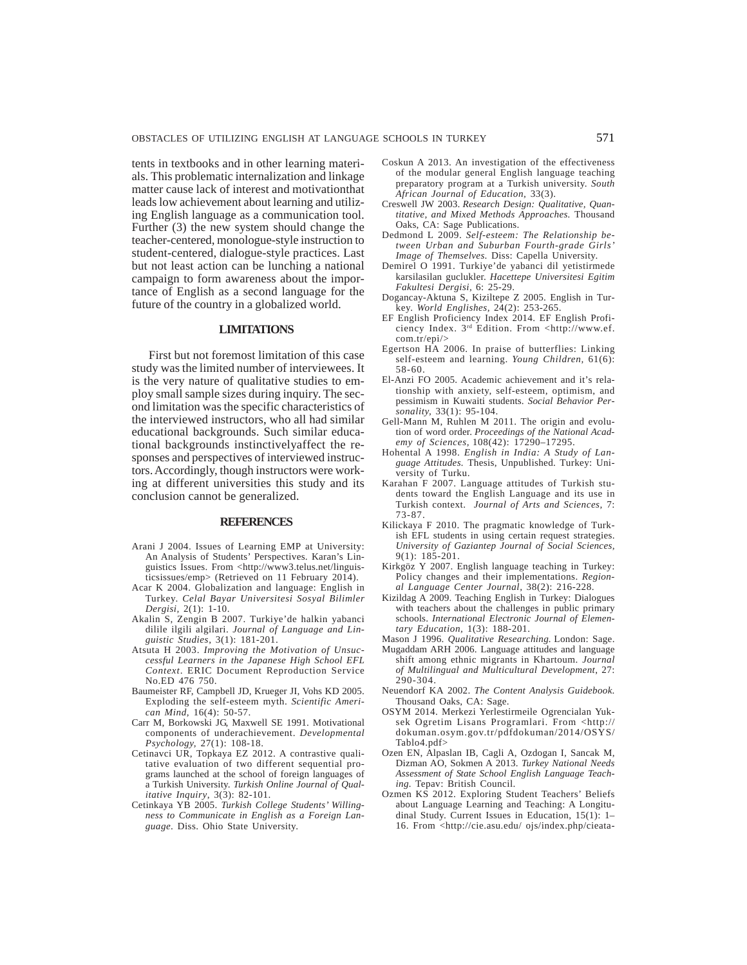tents in textbooks and in other learning materials. This problematic internalization and linkage matter cause lack of interest and motivationthat leads low achievement about learning and utilizing English language as a communication tool. Further (3) the new system should change the teacher-centered, monologue-style instruction to student-centered, dialogue-style practices. Last but not least action can be lunching a national campaign to form awareness about the importance of English as a second language for the future of the country in a globalized world.

# **LIMITATIONS**

First but not foremost limitation of this case study was the limited number of interviewees. It is the very nature of qualitative studies to employ small sample sizes during inquiry. The second limitation was the specific characteristics of the interviewed instructors, who all had similar educational backgrounds. Such similar educational backgrounds instinctivelyaffect the responses and perspectives of interviewed instructors. Accordingly, though instructors were working at different universities this study and its conclusion cannot be generalized.

### **REFERENCES**

- Arani J 2004. Issues of Learning EMP at University: An Analysis of Students' Perspectives. Karan's Linguistics Issues. From <http://www3.telus.net/linguisticsissues/emp> (Retrieved on 11 February 2014).
- Acar K 2004. Globalization and language: English in Turkey. *Celal Bayar Universitesi Sosyal Bilimler Dergisi,* 2(1): 1-10.
- Akalin S, Zengin B 2007. Turkiye'de halkin yabanci dilile ilgili algilari. *Journal of Language and Linguistic Studies*, 3(1): 181-201.
- Atsuta H 2003. *Improving the Motivation of Unsuccessful Learners in the Japanese High School EFL Context*. ERIC Document Reproduction Service No.ED 476 750.
- Baumeister RF, Campbell JD, Krueger JI, Vohs KD 2005. Exploding the self-esteem myth. *Scientific American Mind,* 16(4): 50-57.
- Carr M, Borkowski JG, Maxwell SE 1991. Motivational components of underachievement. *Developmental Psychology,* 27(1): 108-18.
- Cetinavci UR, Topkaya EZ 2012. A contrastive qualitative evaluation of two different sequential programs launched at the school of foreign languages of a Turkish University. *Turkish Online Journal of Qualitative Inquiry*, 3(3): 82-101.
- Cetinkaya YB 2005. *Turkish College Students' Willingness to Communicate in English as a Foreign Language*. Diss. Ohio State University.
- Coskun A 2013. An investigation of the effectiveness of the modular general English language teaching preparatory program at a Turkish university. *South African Journal of Education,* 33(3).
- Creswell JW 2003. *Research Design: Qualitative, Quantitative, and Mixed Methods Approaches.* Thousand Oaks, CA: Sage Publications.
- Dedmond L 2009. *Self-esteem: The Relationship between Urban and Suburban Fourth-grade Girls' Image of Themselves*. Diss: Capella University.
- Demirel O 1991. Turkiye'de yabanci dil yetistirmede karsilasilan guclukler. *Hacettepe Universitesi Egitim Fakultesi Dergisi,* 6: 25-29.
- Dogancay-Aktuna S, Kiziltepe Z 2005. English in Turkey. *World Englishes,* 24(2): 253-265.
- EF English Proficiency Index 2014. EF English Proficiency Index. 3rd Edition. From <http://www.ef. com.tr/epi/>
- Egertson HA 2006. In praise of butterflies: Linking self-esteem and learning. *Young Children,* 61(6): 58-60.
- El-Anzi FO 2005. Academic achievement and it's relationship with anxiety, self-esteem, optimism, and pessimism in Kuwaiti students. *Social Behavior Personality,* 33(1): 95-104.
- Gell-Mann M, Ruhlen M 2011. The origin and evolution of word order. *Proceedings of the National Academy of Sciences,* 108(42): 17290–17295.
- Hohental A 1998. *English in India: A Study of Language Attitudes.* Thesis, Unpublished. Turkey: University of Turku.
- Karahan F 2007. Language attitudes of Turkish students toward the English Language and its use in Turkish context. *Journal of Arts and Sciences,* 7: 73-87.
- Kilickaya F 2010. The pragmatic knowledge of Turkish EFL students in using certain request strategies. *University of Gaziantep Journal of Social Sciences,* 9(1): 185-201.
- Kirkgöz Y 2007. English language teaching in Turkey: Policy changes and their implementations. *Regional Language Center Journal,* 38(2): 216-228.
- Kizildag A 2009. Teaching English in Turkey: Dialogues with teachers about the challenges in public primary schools. *International Electronic Journal of Elementary Education,* 1(3): 188-201.
- Mason J 1996. *Qualitative Researching.* London: Sage. Mugaddam ARH 2006. Language attitudes and language
- shift among ethnic migrants in Khartoum. *Journal of Multilingual and Multicultural Development*, 27: 290-304.
- Neuendorf KA 2002. *The Content Analysis Guidebook*. Thousand Oaks, CA: Sage.
- OSYM 2014. Merkezi Yerlestirmeile Ogrencialan Yuksek Ogretim Lisans Programlari. From <http:// dokuman.osym.gov.tr/pdfdokuman/2014/OSYS/ Tablo4.pdf>
- Ozen EN, Alpaslan IB, Cagli A, Ozdogan I, Sancak M, Dizman AO, Sokmen A 2013. *Turkey National Needs Assessment of State School English Language Teaching.* Tepav: British Council.
- Ozmen KS 2012. Exploring Student Teachers' Beliefs about Language Learning and Teaching: A Longitudinal Study. Current Issues in Education, 15(1): 1– 16. From <http://cie.asu.edu/ ojs/index.php/cieata-